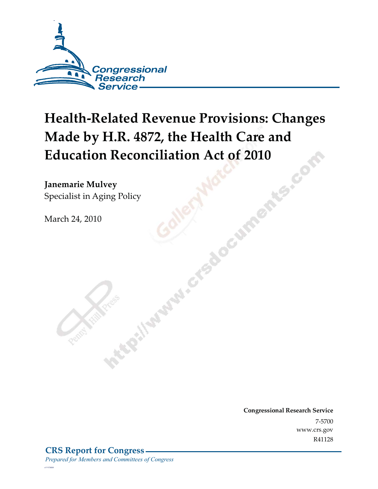

# **Health-Related Revenue Provisions: Changes Made by H.R. 4872, the Health Care and Education Reconciliation Act of 2010**<br> **Janemarie Mulvey**<br>
Specialist in Aging Policy

**Janemarie Mulvey**  Specialist in Aging Policy<br>March 24, 2010<br>Called March 1970

March 24, 2010

**Congressional Research Service**  $\frac{1}{200}$  $W = 14448$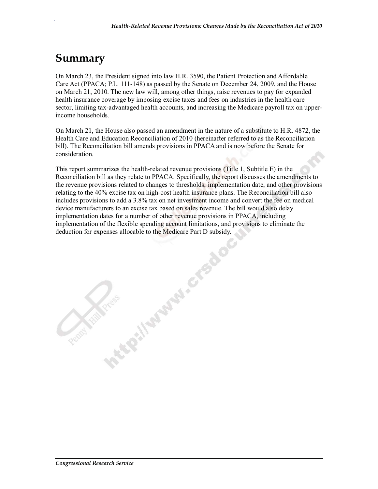## **Summary**

.

On March 23, the President signed into law H.R. 3590, the Patient Protection and Affordable Care Act (PPACA; P.L. 111-148) as passed by the Senate on December 24, 2009, and the House on March 21, 2010. The new law will, among other things, raise revenues to pay for expanded health insurance coverage by imposing excise taxes and fees on industries in the health care sector, limiting tax-advantaged health accounts, and increasing the Medicare payroll tax on upperincome households.

On March 21, the House also passed an amendment in the nature of a substitute to H.R. 4872, the Health Care and Education Reconciliation of 2010 (hereinafter referred to as the Reconciliation bill). The Reconciliation bill amends provisions in PPACA and is now before the Senate for consideration.

This report summarizes the health-related revenue provisions (Title 1, Subtitle E) in the Reconciliation bill as they relate to PPACA. Specifically, the report discusses the amendments to the revenue provisions related to changes to thresholds, implementation date, and other provisions relating to the 40% excise tax on high-cost health insurance plans. The Reconciliation bill also includes provisions to add a 3.8% tax on net investment income and convert the fee on medical device manufacturers to an excise tax based on sales revenue. The bill would also delay implementation dates for a number of other revenue provisions in PPACA, including implementation of the flexible spending account limitations, and provisions to eliminate the deduction for expenses allocable to the Medicare Part D subsidy.<br>
deduction for expenses allocable to the Medicare Part D subsidy.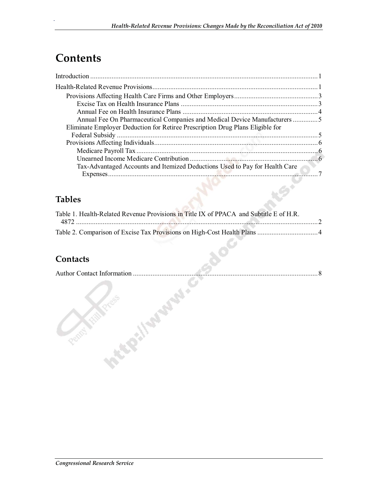## **Contents**

.

| Annual Fee On Pharmaceutical Companies and Medical Device Manufacturers 5     |  |
|-------------------------------------------------------------------------------|--|
| Eliminate Employer Deduction for Retiree Prescription Drug Plans Eligible for |  |
|                                                                               |  |
|                                                                               |  |
|                                                                               |  |
|                                                                               |  |
| Tax-Advantaged Accounts and Itemized Deductions Used to Pay for Health Care   |  |
|                                                                               |  |
|                                                                               |  |

## **Tables**

| Table 1. Health-Related Revenue Provisions in Title IX of PPACA and Subtitle E of H.R. |  |
|----------------------------------------------------------------------------------------|--|
|                                                                                        |  |
|                                                                                        |  |

### **Contacts**

| Author Contact Information. |  |
|-----------------------------|--|
|                             |  |
|                             |  |
|                             |  |
|                             |  |
|                             |  |
|                             |  |
|                             |  |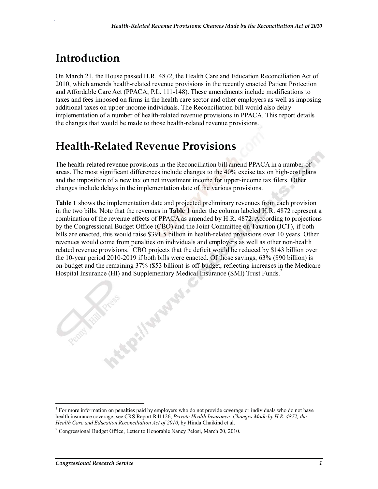## **Introduction**

.

On March 21, the House passed H.R. 4872, the Health Care and Education Reconciliation Act of 2010, which amends health-related revenue provisions in the recently enacted Patient Protection and Affordable Care Act (PPACA; P.L. 111-148). These amendments include modifications to taxes and fees imposed on firms in the health care sector and other employers as well as imposing additional taxes on upper-income individuals. The Reconciliation bill would also delay implementation of a number of health-related revenue provisions in PPACA. This report details the changes that would be made to those health-related revenue provisions.

## **Health-Related Revenue Provisions**

The health-related revenue provisions in the Reconciliation bill amend PPACA in a number of areas. The most significant differences include changes to the 40% excise tax on high-cost plans and the imposition of a new tax on net investment income for upper-income tax filers. Other changes include delays in the implementation date of the various provisions.

**Table 1** shows the implementation date and projected preliminary revenues from each provision in the two bills. Note that the revenues in **Table 1** under the column labeled H.R. 4872 represent a combination of the revenue effects of PPACA as amended by H.R. 4872. According to projections by the Congressional Budget Office (CBO) and the Joint Committee on Taxation (JCT), if both bills are enacted, this would raise \$391.5 billion in health-related provisions over 10 years. Other revenues would come from penalties on individuals and employers as well as other non-health related revenue provisions.<sup>1</sup> CBO projects that the deficit would be reduced by \$143 billion over the 10-year period 2010-2019 if both bills were enacted. Of those savings, 63% (\$90 billion) is on-budget and the remaining 37% (\$53 billion) is off-budget, reflecting increases in the Medicare Hospital Insurance (HI) and Supplementary Medical Insurance (SMI) Trust Funds.<sup>2</sup>

**Pillipperside** 

 $1$  For more information on penalties paid by employers who do not provide coverage or individuals who do not have health insurance coverage, see CRS Report R41126, *Private Health Insurance: Changes Made by H.R. 4872, the Health Care and Education Reconciliation Act of 2010*, by Hinda Chaikind et al.

<sup>&</sup>lt;sup>2</sup> Congressional Budget Office, Letter to Honorable Nancy Pelosi, March 20, 2010.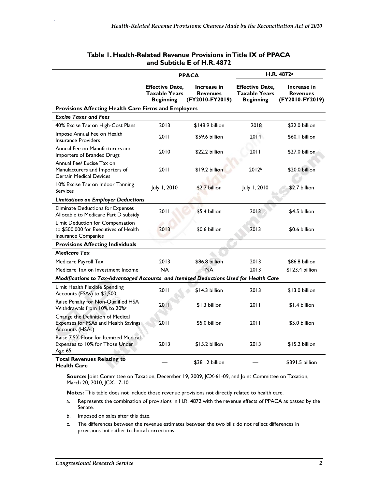|                                                                                                  | <b>PPACA</b>                                                       |                                                   | H.R. 4872 <sup>a</sup>                                             |                                                   |
|--------------------------------------------------------------------------------------------------|--------------------------------------------------------------------|---------------------------------------------------|--------------------------------------------------------------------|---------------------------------------------------|
|                                                                                                  | <b>Effective Date,</b><br><b>Taxable Years</b><br><b>Beginning</b> | Increase in<br><b>Revenues</b><br>(FY2010-FY2019) | <b>Effective Date,</b><br><b>Taxable Years</b><br><b>Beginning</b> | Increase in<br><b>Revenues</b><br>(FY2010-FY2019) |
| Provisions Affecting Health Care Firms and Employers                                             |                                                                    |                                                   |                                                                    |                                                   |
| <b>Excise Taxes and Fees</b>                                                                     |                                                                    |                                                   |                                                                    |                                                   |
| 40% Excise Tax on High-Cost Plans                                                                | 2013                                                               | \$148.9 billion                                   | 2018                                                               | \$32.0 billion                                    |
| Impose Annual Fee on Health<br><b>Insurance Providers</b>                                        | 2011                                                               | \$59.6 billion                                    | 2014                                                               | \$60.1 billion                                    |
| Annual Fee on Manufacturers and<br>Importers of Branded Drugs                                    | 2010                                                               | \$22.2 billion                                    | 2011                                                               | \$27.0 billion                                    |
| Annual Fee/ Excise Tax on<br>Manufacturers and Importers of<br><b>Certain Medical Devices</b>    | 2011                                                               | \$19.2 billion                                    | 2012 <sup>b</sup>                                                  | \$20.0 billion                                    |
| 10% Excise Tax on Indoor Tanning<br><b>Services</b>                                              | July 1, 2010                                                       | \$2.7 billion                                     | July 1, 2010                                                       | \$2.7 billion                                     |
| <b>Limitations on Employer Deductions</b>                                                        |                                                                    |                                                   |                                                                    |                                                   |
| Eliminate Deductions for Expenses<br>Allocable to Medicare Part D subsidy                        | 2011                                                               | \$5.4 billion                                     | 2013                                                               | \$4.5 billion                                     |
| Limit Deduction for Compensation<br>to \$500,000 for Executives of Health<br>Insurance Companies | 2013                                                               | \$0.6 billion                                     | 2013                                                               | \$0.6 billion                                     |
| <b>Provisions Affecting Individuals</b>                                                          |                                                                    |                                                   |                                                                    |                                                   |
| <b>Medicare Tax</b>                                                                              |                                                                    |                                                   |                                                                    |                                                   |
| Medicare Payroll Tax                                                                             | 2013                                                               | \$86.8 billion                                    | 2013                                                               | \$86.8 billion                                    |
| Medicare Tax on Investment Income                                                                | <b>NA</b>                                                          | <b>NA</b>                                         | 2013                                                               | \$123.4 billion                                   |
| Modifications to Tax-Advantaged Accounts and Itemized Deductions Used for Health Care            |                                                                    |                                                   |                                                                    |                                                   |
| Limit Health Flexible Spending<br>Accounts (FSAs) to \$2,500                                     | 2011                                                               | \$14.3 billion                                    | 2013                                                               | \$13.0 billion                                    |
| Raise Penalty for Non-Qualified HSA<br>Withdrawals from 10% to 20%                               | 2011                                                               | \$1.3 billion                                     | 2011                                                               | \$1.4 billion                                     |
| Change the Definition of Medical<br>Expenses for FSAs and Health Savings<br>Accounts (HSAs)      | 2011                                                               | \$5.0 billion                                     | 2011                                                               | \$5.0 billion                                     |
| Raise 7.5% Floor for Itemized Medical<br>Expenses to 10% for Those Under<br>Age 65               | 2013                                                               | \$15.2 billion                                    | 2013                                                               | \$15.2 billion                                    |
| <b>Total Revenues Relating to</b><br><b>Health Care</b>                                          |                                                                    | \$381.2 billion                                   |                                                                    | \$391.5 billion                                   |

#### **Table 1. Health-Related Revenue Provisions in Title IX of PPACA and Subtitle E of H.R. 4872**

**Source:** Joint Committee on Taxation, December 19, 2009, JCX-61-09, and Joint Committee on Taxation, March 20, 2010, JCX-17-10.

**Notes:** This table does not include those revenue provisions not directly related to health care.

- a. Represents the combination of provisions in H.R. 4872 with the revenue effects of PPACA as passed by the Senate.
- b. Imposed on sales after this date.
- c. The differences between the revenue estimates between the two bills do not reflect differences in provisions but rather technical corrections.

.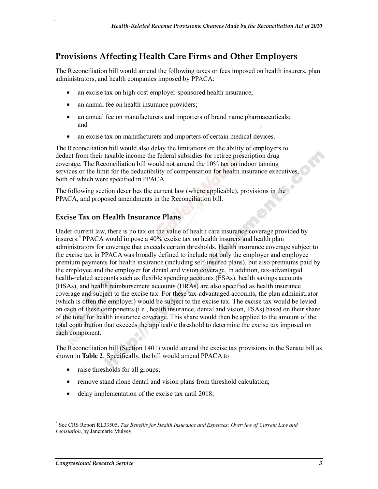#### **Provisions Affecting Health Care Firms and Other Employers**

The Reconciliation bill would amend the following taxes or fees imposed on health insurers, plan administrators, and health companies imposed by PPACA:

- an excise tax on high-cost employer-sponsored health insurance;
- an annual fee on health insurance providers;

.

- an annual fee on manufacturers and importers of brand name pharmaceuticals; and
- an excise tax on manufacturers and importers of certain medical devices.

The Reconciliation bill would also delay the limitations on the ability of employers to deduct from their taxable income the federal subsidies for retiree prescription drug coverage. The Reconciliation bill would not amend the 10% tax on indoor tanning services or the limit for the deductibility of compensation for health insurance executives, both of which were specified in PPACA.

The following section describes the current law (where applicable), provisions in the PPACA, and proposed amendments in the Reconciliation bill.

#### **Excise Tax on Health Insurance Plans**

Under current law, there is no tax on the value of health care insurance coverage provided by insurers.<sup>3</sup> PPACA would impose a 40% excise tax on health insurers and health plan administrators for coverage that exceeds certain thresholds. Health insurance coverage subject to the excise tax in PPACA was broadly defined to include not only the employer and employee premium payments for health insurance (including self-insured plans), but also premiums paid by the employee and the employer for dental and vision coverage. In addition, tax-advantaged health-related accounts such as flexible spending accounts (FSAs), health savings accounts (HSAs), and health reimbursement accounts (HRAs) are also specified as health insurance coverage and subject to the excise tax. For these tax-advantaged accounts, the plan administrator (which is often the employer) would be subject to the excise tax. The excise tax would be levied on each of these components (i.e., health insurance, dental and vision, FSAs) based on their share of the total for health insurance coverage. This share would then be applied to the amount of the total contribution that exceeds the applicable threshold to determine the excise tax imposed on each component.

The Reconciliation bill (Section 1401) would amend the excise tax provisions in the Senate bill as shown in **Table 2**. Specifically, the bill would amend PPACA to

- raise thresholds for all groups;
- remove stand alone dental and vision plans from threshold calculation;
- delay implementation of the excise tax until 2018;

<sup>3</sup> See CRS Report RL33505, *Tax Benefits for Health Insurance and Expenses: Overview of Current Law and Legislation*, by Janemarie Mulvey.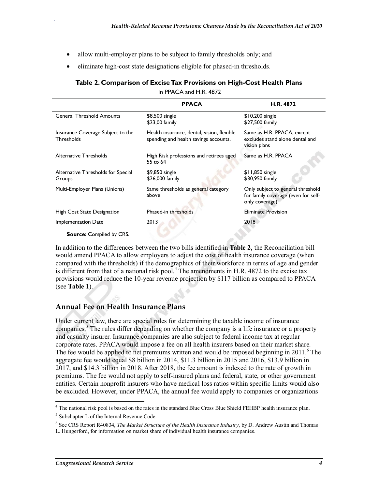- allow multi-employer plans to be subject to family thresholds only; and
- eliminate high-cost state designations eligible for phased-in thresholds.

#### **Table 2. Comparison of Excise Tax Provisions on High-Cost Health Plans**

In PPACA and H.R. 4872

|                                                        | <b>PPACA</b>                                                                        | H.R. 4872                                                                                  |  |
|--------------------------------------------------------|-------------------------------------------------------------------------------------|--------------------------------------------------------------------------------------------|--|
| <b>General Threshold Amounts</b>                       | \$8,500 single<br>\$23,00 family                                                    | $$10,200$ single<br>\$27,500 family                                                        |  |
| Insurance Coverage Subject to the<br><b>Thresholds</b> | Health insurance, dental, vision, flexible<br>spending and health savings accounts. | Same as H.R. PPACA, except<br>excludes stand alone dental and<br>vision plans              |  |
| Alternative Thresholds                                 | High Risk professions and retirees aged<br>55 to 64                                 | Same as H.R. PPACA                                                                         |  |
| Alternative Thresholds for Special<br>Groups           | \$9,850 single<br>\$26,000 family                                                   | $$11,850$ single<br>\$30,950 family                                                        |  |
| Multi-Employer Plans (Unions)                          | Same thresholds as general category<br>above                                        | Only subject to general threshold<br>for family coverage (even for self-<br>only coverage) |  |
| High Cost State Designation                            | Phased-in thresholds                                                                | <b>Eliminate Provision</b>                                                                 |  |
| Implementation Date                                    | 2013                                                                                | 2018                                                                                       |  |

**Source:** Compiled by CRS.

.

In addition to the differences between the two bills identified in **Table 2**, the Reconciliation bill would amend PPACA to allow employers to adjust the cost of health insurance coverage (when compared with the thresholds) if the demographics of their workforce in terms of age and gender is different from that of a national risk pool.<sup>4</sup> The amendments in H.R. 4872 to the excise tax provisions would reduce the 10-year revenue projection by \$117 billion as compared to PPACA (see **Table 1**).

#### **Annual Fee on Health Insurance Plans**

Under current law, there are special rules for determining the taxable income of insurance companies.<sup>5</sup> The rules differ depending on whether the company is a life insurance or a property and casualty insurer. Insurance companies are also subject to federal income tax at regular corporate rates. PPACA would impose a fee on all health insurers based on their market share. The fee would be applied to net premiums written and would be imposed beginning in 2011. <sup>6</sup> The aggregate fee would equal \$8 billion in 2014, \$11.3 billion in 2015 and 2016, \$13.9 billion in 2017, and \$14.3 billion in 2018. After 2018, the fee amount is indexed to the rate of growth in premiums. The fee would not apply to self-insured plans and federal, state, or other government entities. Certain nonprofit insurers who have medical loss ratios within specific limits would also be excluded. However, under PPACA, the annual fee would apply to companies or organizations

<sup>&</sup>lt;sup>4</sup> The national risk pool is based on the rates in the standard Blue Cross Blue Shield FEHBP health insurance plan.

<sup>&</sup>lt;sup>5</sup> Subchapter L of the Internal Revenue Code.

<sup>6</sup> See CRS Report R40834, *The Market Structure of the Health Insurance Industry*, by D. Andrew Austin and Thomas

L. Hungerford, for information on market share of individual health insurance companies.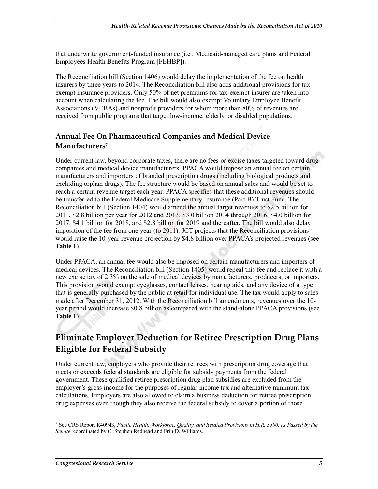that underwrite government-funded insurance (i.e., Medicaid-managed care plans and Federal Employees Health Benefits Program [FEHBP]).

The Reconciliation bill (Section 1406) would delay the implementation of the fee on health insurers by three years to 2014. The Reconciliation bill also adds additional provisions for taxexempt insurance providers. Only 50% of net premiums for tax-exempt insurer are taken into account when calculating the fee. The bill would also exempt Voluntary Employee Benefit Associations (VEBAs) and nonprofit providers for whom more than 80% of revenues are received from public programs that target low-income, elderly, or disabled populations.

#### **Annual Fee On Pharmaceutical Companies and Medical Device Manufacturers7**

Under current law, beyond corporate taxes, there are no fees or excise taxes targeted toward drug companies and medical device manufacturers. PPACA would impose an annual fee on certain manufacturers and importers of branded prescription drugs (including biological products and excluding orphan drugs). The fee structure would be based on annual sales and would be set to reach a certain revenue target each year. PPACA specifies that these additional revenues should be transferred to the Federal Medicare Supplementary Insurance (Part B) Trust Fund. The Reconciliation bill (Section 1404) would amend the annual target revenues to \$2.5 billion for 2011, \$2.8 billion per year for 2012 and 2013, \$3.0 billion 2014 through 2016, \$4.0 billion for 2017, \$4.1 billion for 2018, and \$2.8 billion for 2019 and thereafter. The bill would also delay imposition of the fee from one year (to 2011). JCT projects that the Reconciliation provisions would raise the 10-year revenue projection by \$4.8 billion over PPACA's projected revenues (see **Table 1**).

Under PPACA, an annual fee would also be imposed on certain manufacturers and importers of medical devices. The Reconciliation bill (Section 1405) would repeal this fee and replace it with a new excise tax of 2.3% on the sale of medical devices by manufacturers, producers, or importers. This provision would exempt eyeglasses, contact lenses, hearing aids, and any device of a type that is generally purchased by the public at retail for individual use. The tax would apply to sales made after December 31, 2012. With the Reconciliation bill amendments, revenues over the 10 year period would increase \$0.8 billion as compared with the stand-alone PPACA provisions (see **Table 1**).

## **Eliminate Employer Deduction for Retiree Prescription Drug Plans Eligible for Federal Subsidy**

Under current law, employers who provide their retirees with prescription drug coverage that meets or exceeds federal standards are eligible for subsidy payments from the federal government. These qualified retiree prescription drug plan subsidies are excluded from the employer's gross income for the purposes of regular income tax and alternative minimum tax calculations. Employers are also allowed to claim a business deduction for retiree prescription drug expenses even though they also receive the federal subsidy to cover a portion of those

.

<sup>7</sup> See CRS Report R40943, *Public Health, Workforce, Quality, and Related Provisions in H.R. 3590, as Passed by the Senate*, coordinated by C. Stephen Redhead and Erin D. Williams.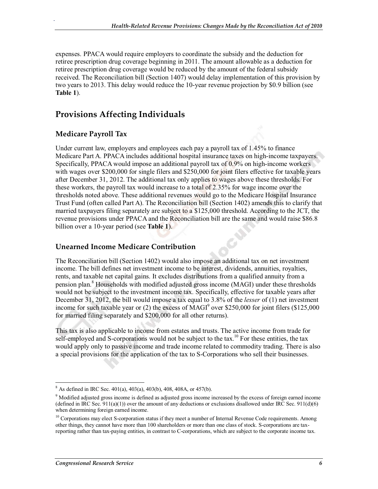expenses. PPACA would require employers to coordinate the subsidy and the deduction for retiree prescription drug coverage beginning in 2011. The amount allowable as a deduction for retiree prescription drug coverage would be reduced by the amount of the federal subsidy received. The Reconciliation bill (Section 1407) would delay implementation of this provision by two years to 2013. This delay would reduce the 10-year revenue projection by \$0.9 billion (see **Table 1**).

#### **Provisions Affecting Individuals**

#### **Medicare Payroll Tax**

.

Under current law, employers and employees each pay a payroll tax of 1.45% to finance Medicare Part A. PPACA includes additional hospital insurance taxes on high-income taxpayers. Specifically, PPACA would impose an additional payroll tax of 0.9% on high-income workers with wages over \$200,000 for single filers and \$250,000 for joint filers effective for taxable years after December 31, 2012. The additional tax only applies to wages above these thresholds. For these workers, the payroll tax would increase to a total of 2.35% for wage income over the thresholds noted above. These additional revenues would go to the Medicare Hospital Insurance Trust Fund (often called Part A). The Reconciliation bill (Section 1402) amends this to clarify that married taxpayers filing separately are subject to a \$125,000 threshold. According to the JCT, the revenue provisions under PPACA and the Reconciliation bill are the same and would raise \$86.8 billion over a 10-year period (see **Table 1**).

#### **Unearned Income Medicare Contribution**

The Reconciliation bill (Section 1402) would also impose an additional tax on net investment income. The bill defines net investment income to be interest, dividends, annuities, royalties, rents, and taxable net capital gains. It excludes distributions from a qualified annuity from a pension plan.<sup>8</sup> Households with modified adjusted gross income (MAGI) under these thresholds would not be subject to the investment income tax. Specifically, effective for taxable years after December 31, 2012, the bill would impose a tax equal to 3.8% of the *lesser* of (1) net investment income for such taxable year or (2) the excess of  $MAGI<sup>9</sup>$  over \$250,000 for joint filers (\$125,000 for married filing separately and \$200,000 for all other returns).

This tax is also applicable to income from estates and trusts. The active income from trade for self-employed and S-corporations would not be subject to the tax.<sup>10</sup> For these entities, the tax would apply only to passive income and trade income related to commodity trading. There is also a special provisions for the application of the tax to S-Corporations who sell their businesses.

 $8$  As defined in IRC Sec. 401(a), 403(a), 403(b), 408, 408A, or 457(b).

<sup>&</sup>lt;sup>9</sup> Modified adjusted gross income is defined as adjusted gross income increased by the excess of foreign earned income (defined in IRC Sec. 911(a)(1)) over the amount of any deductions or exclusions disallowed under IRC Sec. 911(d)(6) when determining foreign earned income.

 $10$  Corporations may elect S-corporation status if they meet a number of Internal Revenue Code requirements. Among other things, they cannot have more than 100 shareholders or more than one class of stock. S-corporations are taxreporting rather than tax-paying entities, in contrast to C-corporations, which are subject to the corporate income tax.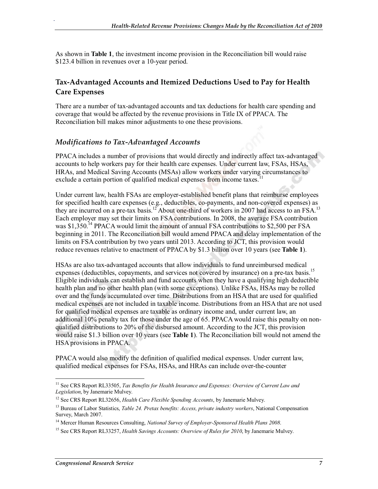As shown in **Table 1**, the investment income provision in the Reconciliation bill would raise \$123.4 billion in revenues over a 10-year period.

#### **Tax-Advantaged Accounts and Itemized Deductions Used to Pay for Health Care Expenses**

There are a number of tax-advantaged accounts and tax deductions for health care spending and coverage that would be affected by the revenue provisions in Title IX of PPACA. The Reconciliation bill makes minor adjustments to one these provisions.

#### *Modifications to Tax-Advantaged Accounts*

.

PPACA includes a number of provisions that would directly and indirectly affect tax-advantaged accounts to help workers pay for their health care expenses. Under current law, FSAs, HSAs, HRAs, and Medical Saving Accounts (MSAs) allow workers under varying circumstances to exclude a certain portion of qualified medical expenses from income taxes.<sup>1</sup>

Under current law, health FSAs are employer-established benefit plans that reimburse employees for specified health care expenses (e.g., deductibles, co-payments, and non-covered expenses) as they are incurred on a pre-tax basis.<sup>12</sup> About one-third of workers in 2007 had access to an FSA.<sup>13</sup> Each employer may set their limits on FSA contributions. In 2008, the average FSA contribution was \$1,350.<sup>14</sup> PPACA would limit the amount of annual FSA contributions to \$2,500 per FSA beginning in 2011. The Reconciliation bill would amend PPACA and delay implementation of the limits on FSA contribution by two years until 2013. According to JCT, this provision would reduce revenues relative to enactment of PPACA by \$1.3 billion over 10 years (see **Table 1**).

HSAs are also tax-advantaged accounts that allow individuals to fund unreimbursed medical expenses (deductibles, copayments, and services not covered by insurance) on a pre-tax basis.<sup>15</sup> Eligible individuals can establish and fund accounts when they have a qualifying high deductible health plan and no other health plan (with some exceptions). Unlike FSAs, HSAs may be rolled over and the funds accumulated over time. Distributions from an HSA that are used for qualified medical expenses are not included in taxable income. Distributions from an HSA that are not used for qualified medical expenses are taxable as ordinary income and, under current law, an additional 10% penalty tax for those under the age of 65. PPACA would raise this penalty on nonqualified distributions to 20% of the disbursed amount. According to the JCT, this provision would raise \$1.3 billion over 10 years (see **Table 1**). The Reconciliation bill would not amend the HSA provisions in PPACA.

PPACA would also modify the definition of qualified medical expenses. Under current law, qualified medical expenses for FSAs, HSAs, and HRAs can include over-the-counter

<sup>&</sup>lt;sup>11</sup> See CRS Report RL33505, *Tax Benefits for Health Insurance and Expenses: Overview of Current Law and Legislation*, by Janemarie Mulvey.

<sup>12</sup> See CRS Report RL32656, *Health Care Flexible Spending Accounts*, by Janemarie Mulvey.

<sup>13</sup> Bureau of Labor Statistics, *Table 24. Pretax benefits: Access, private industry workers*, National Compensation Survey, March 2007.

<sup>14</sup> Mercer Human Resources Consulting, *National Survey of Employer-Sponsored Health Plans 2008*.

<sup>&</sup>lt;sup>15</sup> See CRS Report RL33257, *Health Savings Accounts: Overview of Rules for 2010*, by Janemarie Mulvey.